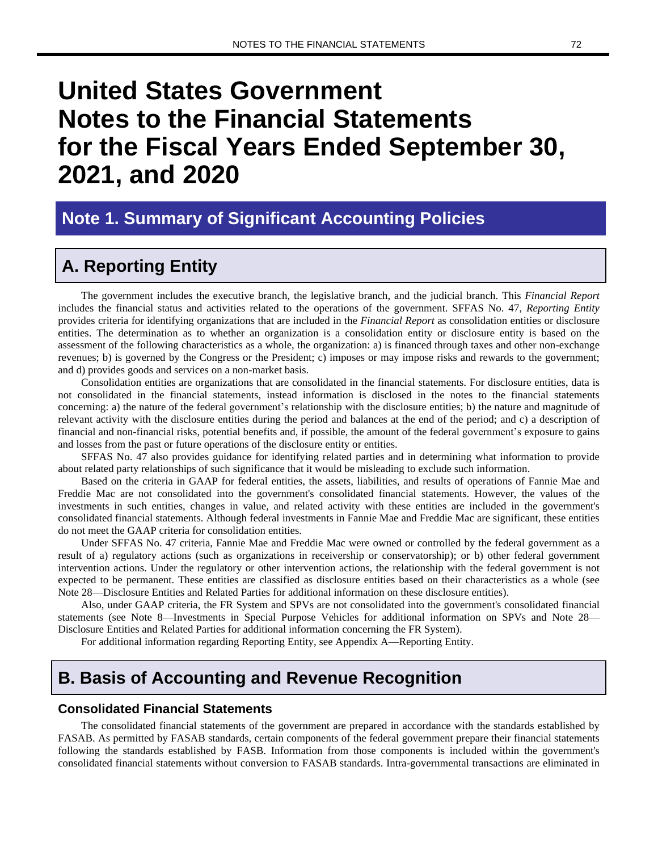# **United States Government Notes to the Financial Statements for the Fiscal Years Ended September 30, 2021, and 2020**

# **Note 1. Summary of Significant Accounting Policies**

# **A. Reporting Entity**

The government includes the executive branch, the legislative branch, and the judicial branch. This *Financial Report* includes the financial status and activities related to the operations of the government. SFFAS No. 47, *Reporting Entity* provides criteria for identifying organizations that are included in the *Financial Report* as consolidation entities or disclosure entities. The determination as to whether an organization is a consolidation entity or disclosure entity is based on the assessment of the following characteristics as a whole, the organization: a) is financed through taxes and other non-exchange revenues; b) is governed by the Congress or the President; c) imposes or may impose risks and rewards to the government; and d) provides goods and services on a non-market basis.

Consolidation entities are organizations that are consolidated in the financial statements. For disclosure entities, data is not consolidated in the financial statements, instead information is disclosed in the notes to the financial statements concerning: a) the nature of the federal government's relationship with the disclosure entities; b) the nature and magnitude of relevant activity with the disclosure entities during the period and balances at the end of the period; and c) a description of financial and non-financial risks, potential benefits and, if possible, the amount of the federal government's exposure to gains and losses from the past or future operations of the disclosure entity or entities.

SFFAS No. 47 also provides guidance for identifying related parties and in determining what information to provide about related party relationships of such significance that it would be misleading to exclude such information.

Based on the criteria in GAAP for federal entities, the assets, liabilities, and results of operations of Fannie Mae and Freddie Mac are not consolidated into the government's consolidated financial statements. However, the values of the investments in such entities, changes in value, and related activity with these entities are included in the government's consolidated financial statements. Although federal investments in Fannie Mae and Freddie Mac are significant, these entities do not meet the GAAP criteria for consolidation entities.

Under SFFAS No. 47 criteria, Fannie Mae and Freddie Mac were owned or controlled by the federal government as a result of a) regulatory actions (such as organizations in receivership or conservatorship); or b) other federal government intervention actions. Under the regulatory or other intervention actions, the relationship with the federal government is not expected to be permanent. These entities are classified as disclosure entities based on their characteristics as a whole (see Note 28—Disclosure Entities and Related Parties for additional information on these disclosure entities).

Also, under GAAP criteria, the FR System and SPVs are not consolidated into the government's consolidated financial statements (see Note 8—Investments in Special Purpose Vehicles for additional information on SPVs and Note 28— Disclosure Entities and Related Parties for additional information concerning the FR System).

For additional information regarding Reporting Entity, see Appendix A—Reporting Entity.

# **B. Basis of Accounting and Revenue Recognition**

#### **Consolidated Financial Statements**

The consolidated financial statements of the government are prepared in accordance with the standards established by FASAB. As permitted by FASAB standards, certain components of the federal government prepare their financial statements following the standards established by FASB. Information from those components is included within the government's consolidated financial statements without conversion to FASAB standards. Intra-governmental transactions are eliminated in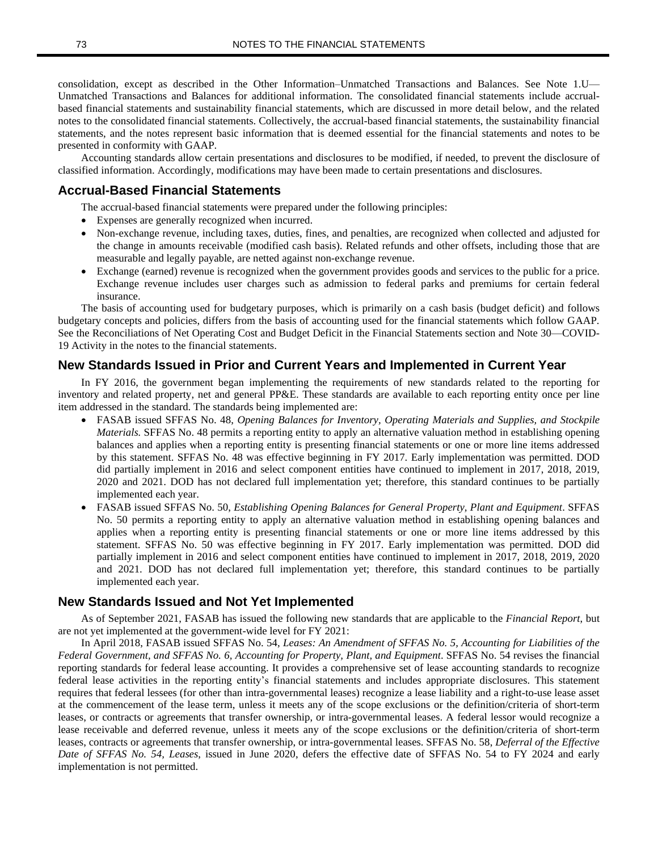consolidation, except as described in the Other Information–Unmatched Transactions and Balances. See Note 1.U— Unmatched Transactions and Balances for additional information. The consolidated financial statements include accrualbased financial statements and sustainability financial statements, which are discussed in more detail below, and the related notes to the consolidated financial statements. Collectively, the accrual-based financial statements, the sustainability financial statements, and the notes represent basic information that is deemed essential for the financial statements and notes to be presented in conformity with GAAP.

Accounting standards allow certain presentations and disclosures to be modified, if needed, to prevent the disclosure of classified information. Accordingly, modifications may have been made to certain presentations and disclosures.

#### **Accrual-Based Financial Statements**

The accrual-based financial statements were prepared under the following principles:

- Expenses are generally recognized when incurred.
- Non-exchange revenue, including taxes, duties, fines, and penalties, are recognized when collected and adjusted for the change in amounts receivable (modified cash basis). Related refunds and other offsets, including those that are measurable and legally payable, are netted against non-exchange revenue.
- Exchange (earned) revenue is recognized when the government provides goods and services to the public for a price. Exchange revenue includes user charges such as admission to federal parks and premiums for certain federal insurance.

The basis of accounting used for budgetary purposes, which is primarily on a cash basis (budget deficit) and follows budgetary concepts and policies, differs from the basis of accounting used for the financial statements which follow GAAP. See the Reconciliations of Net Operating Cost and Budget Deficit in the Financial Statements section and Note 30—COVID-19 Activity in the notes to the financial statements.

#### **New Standards Issued in Prior and Current Years and Implemented in Current Year**

In FY 2016, the government began implementing the requirements of new standards related to the reporting for inventory and related property, net and general PP&E. These standards are available to each reporting entity once per line item addressed in the standard. The standards being implemented are:

- FASAB issued SFFAS No. 48, *Opening Balances for Inventory, Operating Materials and Supplies, and Stockpile Materials.* SFFAS No. 48 permits a reporting entity to apply an alternative valuation method in establishing opening balances and applies when a reporting entity is presenting financial statements or one or more line items addressed by this statement. SFFAS No. 48 was effective beginning in FY 2017. Early implementation was permitted. DOD did partially implement in 2016 and select component entities have continued to implement in 2017, 2018, 2019, 2020 and 2021. DOD has not declared full implementation yet; therefore, this standard continues to be partially implemented each year.
- FASAB issued SFFAS No. 50, *Establishing Opening Balances for General Property, Plant and Equipment*. SFFAS No. 50 permits a reporting entity to apply an alternative valuation method in establishing opening balances and applies when a reporting entity is presenting financial statements or one or more line items addressed by this statement. SFFAS No. 50 was effective beginning in FY 2017. Early implementation was permitted. DOD did partially implement in 2016 and select component entities have continued to implement in 2017, 2018, 2019, 2020 and 2021. DOD has not declared full implementation yet; therefore, this standard continues to be partially implemented each year.

#### **New Standards Issued and Not Yet Implemented**

As of September 2021, FASAB has issued the following new standards that are applicable to the *Financial Report*, but are not yet implemented at the government-wide level for FY 2021:

In April 2018, FASAB issued SFFAS No. 54, *Leases: An Amendment of SFFAS No. 5, Accounting for Liabilities of the Federal Government, and SFFAS No. 6, Accounting for Property, Plant, and Equipment*. SFFAS No. 54 revises the financial reporting standards for federal lease accounting. It provides a comprehensive set of lease accounting standards to recognize federal lease activities in the reporting entity's financial statements and includes appropriate disclosures. This statement requires that federal lessees (for other than intra-governmental leases) recognize a lease liability and a right-to-use lease asset at the commencement of the lease term, unless it meets any of the scope exclusions or the definition/criteria of short-term leases, or contracts or agreements that transfer ownership, or intra-governmental leases. A federal lessor would recognize a lease receivable and deferred revenue, unless it meets any of the scope exclusions or the definition/criteria of short-term leases, contracts or agreements that transfer ownership, or intra-governmental leases. SFFAS No. 58, *Deferral of the Effective Date of SFFAS No. 54, Leases*, issued in June 2020, defers the effective date of SFFAS No. 54 to FY 2024 and early implementation is not permitted.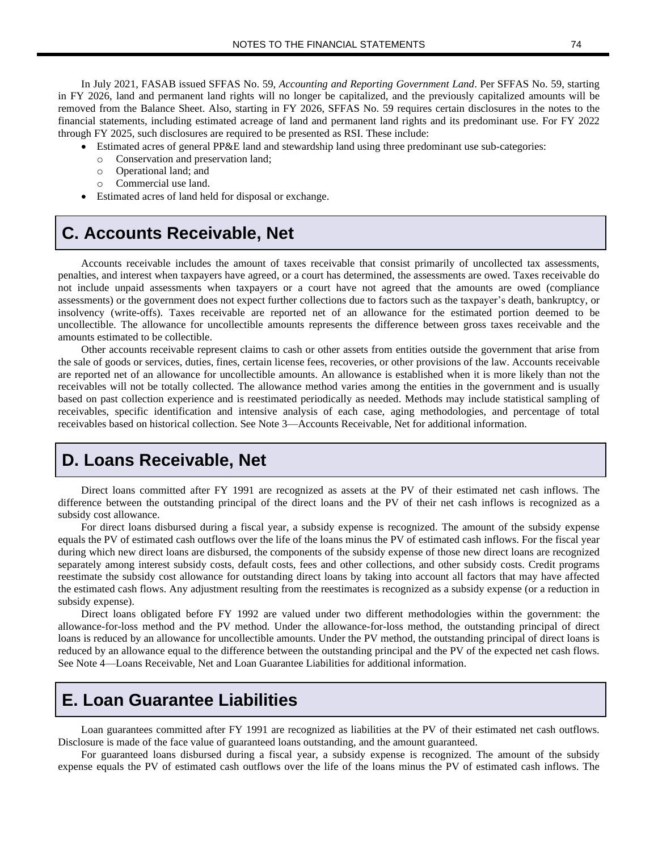In July 2021, FASAB issued SFFAS No. 59, *Accounting and Reporting Government Land*. Per SFFAS No. 59, starting in FY 2026, land and permanent land rights will no longer be capitalized, and the previously capitalized amounts will be removed from the Balance Sheet. Also, starting in FY 2026, SFFAS No. 59 requires certain disclosures in the notes to the financial statements, including estimated acreage of land and permanent land rights and its predominant use. For FY 2022 through FY 2025, such disclosures are required to be presented as RSI. These include:

- Estimated acres of general PP&E land and stewardship land using three predominant use sub-categories:
	- o Conservation and preservation land;
	- o Operational land; and
	- Commercial use land.
- Estimated acres of land held for disposal or exchange.

# **C. Accounts Receivable, Net**

Accounts receivable includes the amount of taxes receivable that consist primarily of uncollected tax assessments, penalties, and interest when taxpayers have agreed, or a court has determined, the assessments are owed. Taxes receivable do not include unpaid assessments when taxpayers or a court have not agreed that the amounts are owed (compliance assessments) or the government does not expect further collections due to factors such as the taxpayer's death, bankruptcy, or insolvency (write-offs). Taxes receivable are reported net of an allowance for the estimated portion deemed to be uncollectible. The allowance for uncollectible amounts represents the difference between gross taxes receivable and the amounts estimated to be collectible.

Other accounts receivable represent claims to cash or other assets from entities outside the government that arise from the sale of goods or services, duties, fines, certain license fees, recoveries, or other provisions of the law. Accounts receivable are reported net of an allowance for uncollectible amounts. An allowance is established when it is more likely than not the receivables will not be totally collected. The allowance method varies among the entities in the government and is usually based on past collection experience and is reestimated periodically as needed. Methods may include statistical sampling of receivables, specific identification and intensive analysis of each case, aging methodologies, and percentage of total receivables based on historical collection. See Note 3—Accounts Receivable, Net for additional information.

# **D. Loans Receivable, Net**

Direct loans committed after FY 1991 are recognized as assets at the PV of their estimated net cash inflows. The difference between the outstanding principal of the direct loans and the PV of their net cash inflows is recognized as a subsidy cost allowance.

For direct loans disbursed during a fiscal year, a subsidy expense is recognized. The amount of the subsidy expense equals the PV of estimated cash outflows over the life of the loans minus the PV of estimated cash inflows. For the fiscal year during which new direct loans are disbursed, the components of the subsidy expense of those new direct loans are recognized separately among interest subsidy costs, default costs, fees and other collections, and other subsidy costs. Credit programs reestimate the subsidy cost allowance for outstanding direct loans by taking into account all factors that may have affected the estimated cash flows. Any adjustment resulting from the reestimates is recognized as a subsidy expense (or a reduction in subsidy expense).

Direct loans obligated before FY 1992 are valued under two different methodologies within the government: the allowance-for-loss method and the PV method. Under the allowance-for-loss method, the outstanding principal of direct loans is reduced by an allowance for uncollectible amounts. Under the PV method, the outstanding principal of direct loans is reduced by an allowance equal to the difference between the outstanding principal and the PV of the expected net cash flows. See Note 4—Loans Receivable, Net and Loan Guarantee Liabilities for additional information.

#### **E. Loan Guarantee Liabilities**

Loan guarantees committed after FY 1991 are recognized as liabilities at the PV of their estimated net cash outflows. Disclosure is made of the face value of guaranteed loans outstanding, and the amount guaranteed.

For guaranteed loans disbursed during a fiscal year, a subsidy expense is recognized. The amount of the subsidy expense equals the PV of estimated cash outflows over the life of the loans minus the PV of estimated cash inflows. The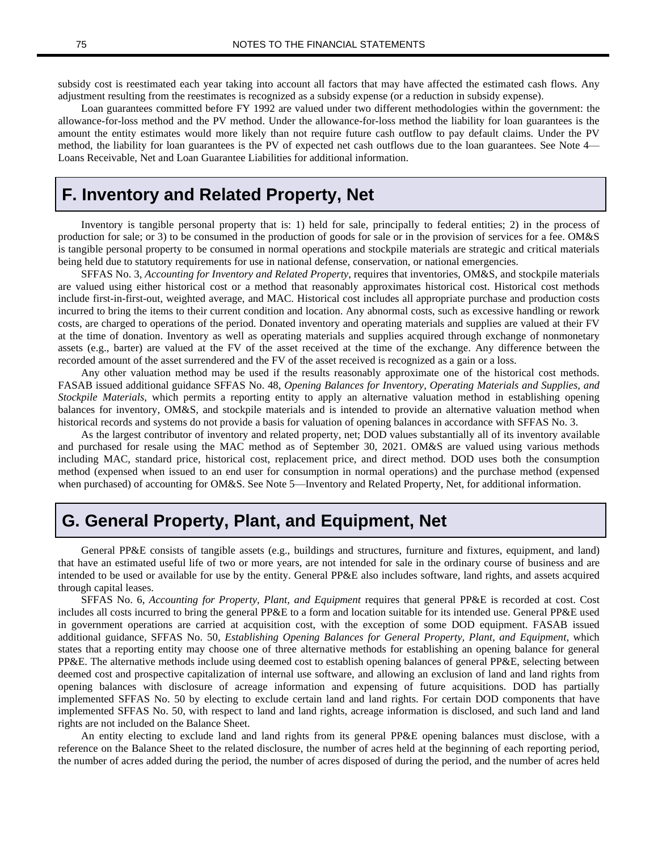subsidy cost is reestimated each year taking into account all factors that may have affected the estimated cash flows. Any adjustment resulting from the reestimates is recognized as a subsidy expense (or a reduction in subsidy expense).

Loan guarantees committed before FY 1992 are valued under two different methodologies within the government: the allowance-for-loss method and the PV method. Under the allowance-for-loss method the liability for loan guarantees is the amount the entity estimates would more likely than not require future cash outflow to pay default claims. Under the PV method, the liability for loan guarantees is the PV of expected net cash outflows due to the loan guarantees. See Note 4— Loans Receivable, Net and Loan Guarantee Liabilities for additional information.

#### **F. Inventory and Related Property, Net**

Inventory is tangible personal property that is: 1) held for sale, principally to federal entities; 2) in the process of production for sale; or 3) to be consumed in the production of goods for sale or in the provision of services for a fee. OM&S is tangible personal property to be consumed in normal operations and stockpile materials are strategic and critical materials being held due to statutory requirements for use in national defense, conservation, or national emergencies.

SFFAS No. 3, *Accounting for Inventory and Related Property*, requires that inventories, OM&S, and stockpile materials are valued using either historical cost or a method that reasonably approximates historical cost. Historical cost methods include first-in-first-out, weighted average, and MAC. Historical cost includes all appropriate purchase and production costs incurred to bring the items to their current condition and location. Any abnormal costs, such as excessive handling or rework costs, are charged to operations of the period. Donated inventory and operating materials and supplies are valued at their FV at the time of donation. Inventory as well as operating materials and supplies acquired through exchange of nonmonetary assets (e.g., barter) are valued at the FV of the asset received at the time of the exchange. Any difference between the recorded amount of the asset surrendered and the FV of the asset received is recognized as a gain or a loss.

Any other valuation method may be used if the results reasonably approximate one of the historical cost methods. FASAB issued additional guidance SFFAS No. 48, *Opening Balances for Inventory, Operating Materials and Supplies, and Stockpile Materials*, which permits a reporting entity to apply an alternative valuation method in establishing opening balances for inventory, OM&S, and stockpile materials and is intended to provide an alternative valuation method when historical records and systems do not provide a basis for valuation of opening balances in accordance with SFFAS No. 3.

As the largest contributor of inventory and related property, net; DOD values substantially all of its inventory available and purchased for resale using the MAC method as of September 30, 2021. OM&S are valued using various methods including MAC, standard price, historical cost, replacement price, and direct method. DOD uses both the consumption method (expensed when issued to an end user for consumption in normal operations) and the purchase method (expensed when purchased) of accounting for OM&S. See Note 5—Inventory and Related Property, Net, for additional information.

#### **G. General Property, Plant, and Equipment, Net**

General PP&E consists of tangible assets (e.g., buildings and structures, furniture and fixtures, equipment, and land) that have an estimated useful life of two or more years, are not intended for sale in the ordinary course of business and are intended to be used or available for use by the entity. General PP&E also includes software, land rights, and assets acquired through capital leases.

SFFAS No. 6, *Accounting for Property, Plant, and Equipment* requires that general PP&E is recorded at cost. Cost includes all costs incurred to bring the general PP&E to a form and location suitable for its intended use. General PP&E used in government operations are carried at acquisition cost, with the exception of some DOD equipment. FASAB issued additional guidance, SFFAS No. 50, *Establishing Opening Balances for General Property, Plant, and Equipment,* which states that a reporting entity may choose one of three alternative methods for establishing an opening balance for general PP&E. The alternative methods include using deemed cost to establish opening balances of general PP&E, selecting between deemed cost and prospective capitalization of internal use software, and allowing an exclusion of land and land rights from opening balances with disclosure of acreage information and expensing of future acquisitions. DOD has partially implemented SFFAS No. 50 by electing to exclude certain land and land rights. For certain DOD components that have implemented SFFAS No. 50, with respect to land and land rights, acreage information is disclosed, and such land and land rights are not included on the Balance Sheet.

An entity electing to exclude land and land rights from its general PP&E opening balances must disclose, with a reference on the Balance Sheet to the related disclosure, the number of acres held at the beginning of each reporting period, the number of acres added during the period, the number of acres disposed of during the period, and the number of acres held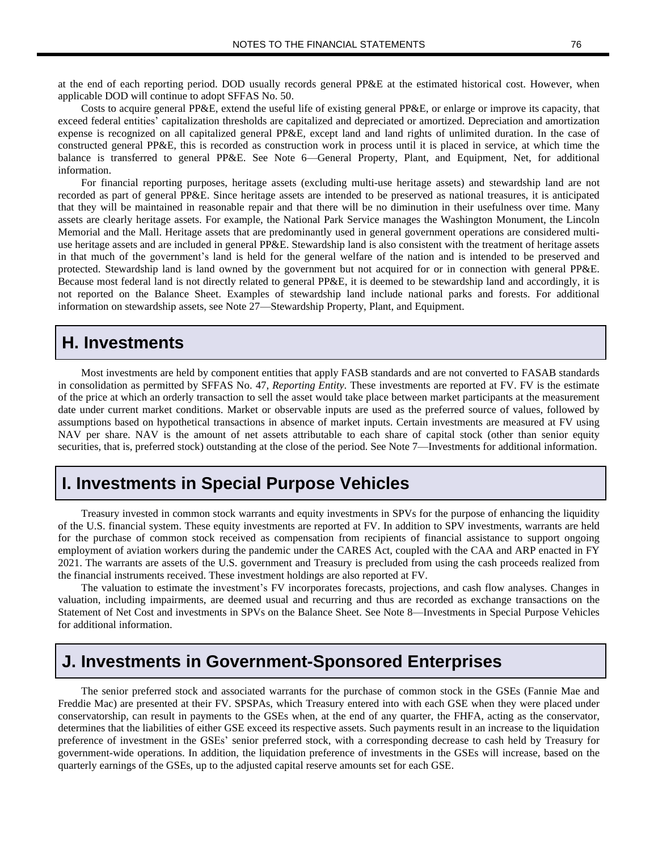at the end of each reporting period. DOD usually records general PP&E at the estimated historical cost. However, when applicable DOD will continue to adopt SFFAS No. 50.

Costs to acquire general PP&E, extend the useful life of existing general PP&E, or enlarge or improve its capacity, that exceed federal entities' capitalization thresholds are capitalized and depreciated or amortized. Depreciation and amortization expense is recognized on all capitalized general PP&E, except land and land rights of unlimited duration. In the case of constructed general PP&E, this is recorded as construction work in process until it is placed in service, at which time the balance is transferred to general PP&E. See Note 6—General Property, Plant, and Equipment, Net, for additional information.

For financial reporting purposes, heritage assets (excluding multi-use heritage assets) and stewardship land are not recorded as part of general PP&E. Since heritage assets are intended to be preserved as national treasures, it is anticipated that they will be maintained in reasonable repair and that there will be no diminution in their usefulness over time. Many assets are clearly heritage assets. For example, the National Park Service manages the Washington Monument, the Lincoln Memorial and the Mall. Heritage assets that are predominantly used in general government operations are considered multiuse heritage assets and are included in general PP&E. Stewardship land is also consistent with the treatment of heritage assets in that much of the government's land is held for the general welfare of the nation and is intended to be preserved and protected. Stewardship land is land owned by the government but not acquired for or in connection with general PP&E. Because most federal land is not directly related to general PP&E, it is deemed to be stewardship land and accordingly, it is not reported on the Balance Sheet. Examples of stewardship land include national parks and forests. For additional information on stewardship assets, see Note 27—Stewardship Property, Plant, and Equipment.

#### **H. Investments**

Most investments are held by component entities that apply FASB standards and are not converted to FASAB standards in consolidation as permitted by SFFAS No. 47, *Reporting Entity*. These investments are reported at FV. FV is the estimate of the price at which an orderly transaction to sell the asset would take place between market participants at the measurement date under current market conditions. Market or observable inputs are used as the preferred source of values, followed by assumptions based on hypothetical transactions in absence of market inputs. Certain investments are measured at FV using NAV per share. NAV is the amount of net assets attributable to each share of capital stock (other than senior equity securities, that is, preferred stock) outstanding at the close of the period. See Note 7—Investments for additional information.

### **I. Investments in Special Purpose Vehicles**

Treasury invested in common stock warrants and equity investments in SPVs for the purpose of enhancing the liquidity of the U.S. financial system. These equity investments are reported at FV. In addition to SPV investments, warrants are held for the purchase of common stock received as compensation from recipients of financial assistance to support ongoing employment of aviation workers during the pandemic under the CARES Act, coupled with the CAA and ARP enacted in FY 2021. The warrants are assets of the U.S. government and Treasury is precluded from using the cash proceeds realized from the financial instruments received. These investment holdings are also reported at FV.

The valuation to estimate the investment's FV incorporates forecasts, projections, and cash flow analyses. Changes in valuation, including impairments, are deemed usual and recurring and thus are recorded as exchange transactions on the Statement of Net Cost and investments in SPVs on the Balance Sheet. See Note 8—Investments in Special Purpose Vehicles for additional information.

# **J. Investments in Government-Sponsored Enterprises**

The senior preferred stock and associated warrants for the purchase of common stock in the GSEs (Fannie Mae and Freddie Mac) are presented at their FV. SPSPAs, which Treasury entered into with each GSE when they were placed under conservatorship, can result in payments to the GSEs when, at the end of any quarter, the FHFA, acting as the conservator, determines that the liabilities of either GSE exceed its respective assets. Such payments result in an increase to the liquidation preference of investment in the GSEs' senior preferred stock, with a corresponding decrease to cash held by Treasury for government-wide operations. In addition, the liquidation preference of investments in the GSEs will increase, based on the quarterly earnings of the GSEs, up to the adjusted capital reserve amounts set for each GSE.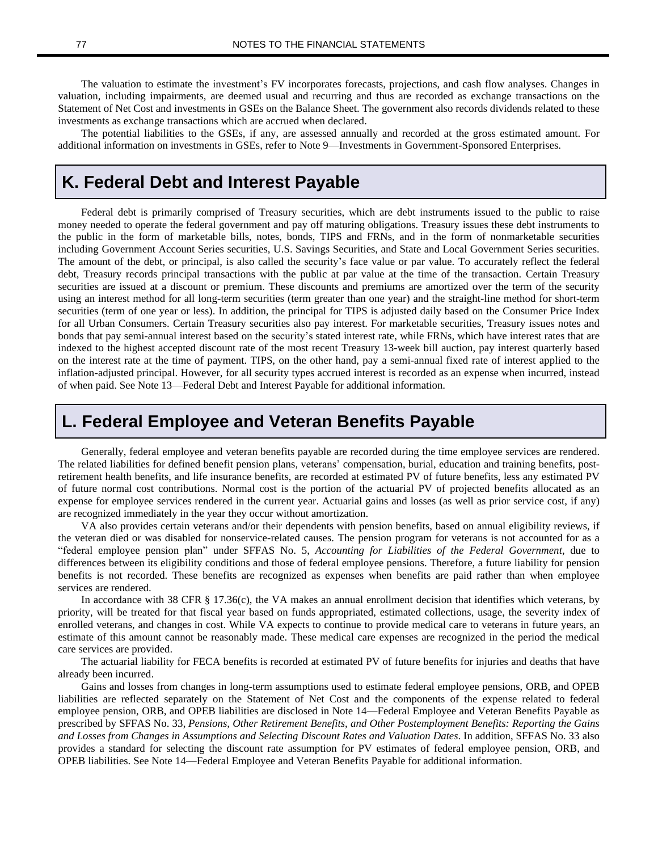The valuation to estimate the investment's FV incorporates forecasts, projections, and cash flow analyses. Changes in valuation, including impairments, are deemed usual and recurring and thus are recorded as exchange transactions on the Statement of Net Cost and investments in GSEs on the Balance Sheet. The government also records dividends related to these investments as exchange transactions which are accrued when declared.

The potential liabilities to the GSEs, if any, are assessed annually and recorded at the gross estimated amount. For additional information on investments in GSEs, refer to Note 9—Investments in Government-Sponsored Enterprises.

# **K. Federal Debt and Interest Payable**

Federal debt is primarily comprised of Treasury securities, which are debt instruments issued to the public to raise money needed to operate the federal government and pay off maturing obligations. Treasury issues these debt instruments to the public in the form of marketable bills, notes, bonds, TIPS and FRNs, and in the form of nonmarketable securities including Government Account Series securities, U.S. Savings Securities, and State and Local Government Series securities. The amount of the debt, or principal, is also called the security's face value or par value. To accurately reflect the federal debt, Treasury records principal transactions with the public at par value at the time of the transaction. Certain Treasury securities are issued at a discount or premium. These discounts and premiums are amortized over the term of the security using an interest method for all long-term securities (term greater than one year) and the straight-line method for short-term securities (term of one year or less). In addition, the principal for TIPS is adjusted daily based on the Consumer Price Index for all Urban Consumers. Certain Treasury securities also pay interest. For marketable securities, Treasury issues notes and bonds that pay semi-annual interest based on the security's stated interest rate, while FRNs, which have interest rates that are indexed to the highest accepted discount rate of the most recent Treasury 13-week bill auction, pay interest quarterly based on the interest rate at the time of payment. TIPS, on the other hand, pay a semi-annual fixed rate of interest applied to the inflation-adjusted principal. However, for all security types accrued interest is recorded as an expense when incurred, instead of when paid. See Note 13—Federal Debt and Interest Payable for additional information.

# **L. Federal Employee and Veteran Benefits Payable**

Generally, federal employee and veteran benefits payable are recorded during the time employee services are rendered. The related liabilities for defined benefit pension plans, veterans' compensation, burial, education and training benefits, postretirement health benefits, and life insurance benefits, are recorded at estimated PV of future benefits, less any estimated PV of future normal cost contributions. Normal cost is the portion of the actuarial PV of projected benefits allocated as an expense for employee services rendered in the current year. Actuarial gains and losses (as well as prior service cost, if any) are recognized immediately in the year they occur without amortization.

VA also provides certain veterans and/or their dependents with pension benefits, based on annual eligibility reviews, if the veteran died or was disabled for nonservice-related causes. The pension program for veterans is not accounted for as a "federal employee pension plan" under SFFAS No. 5, *Accounting for Liabilities of the Federal Government*, due to differences between its eligibility conditions and those of federal employee pensions. Therefore, a future liability for pension benefits is not recorded. These benefits are recognized as expenses when benefits are paid rather than when employee services are rendered.

In accordance with 38 CFR § 17.36(c), the VA makes an annual enrollment decision that identifies which veterans, by priority, will be treated for that fiscal year based on funds appropriated, estimated collections, usage, the severity index of enrolled veterans, and changes in cost. While VA expects to continue to provide medical care to veterans in future years, an estimate of this amount cannot be reasonably made. These medical care expenses are recognized in the period the medical care services are provided.

The actuarial liability for FECA benefits is recorded at estimated PV of future benefits for injuries and deaths that have already been incurred.

Gains and losses from changes in long-term assumptions used to estimate federal employee pensions, ORB, and OPEB liabilities are reflected separately on the Statement of Net Cost and the components of the expense related to federal employee pension, ORB, and OPEB liabilities are disclosed in Note 14—Federal Employee and Veteran Benefits Payable as prescribed by SFFAS No. 33, *Pensions, Other Retirement Benefits, and Other Postemployment Benefits: Reporting the Gains and Losses from Changes in Assumptions and Selecting Discount Rates and Valuation Dates*. In addition, SFFAS No. 33 also provides a standard for selecting the discount rate assumption for PV estimates of federal employee pension, ORB, and OPEB liabilities. See Note 14—Federal Employee and Veteran Benefits Payable for additional information.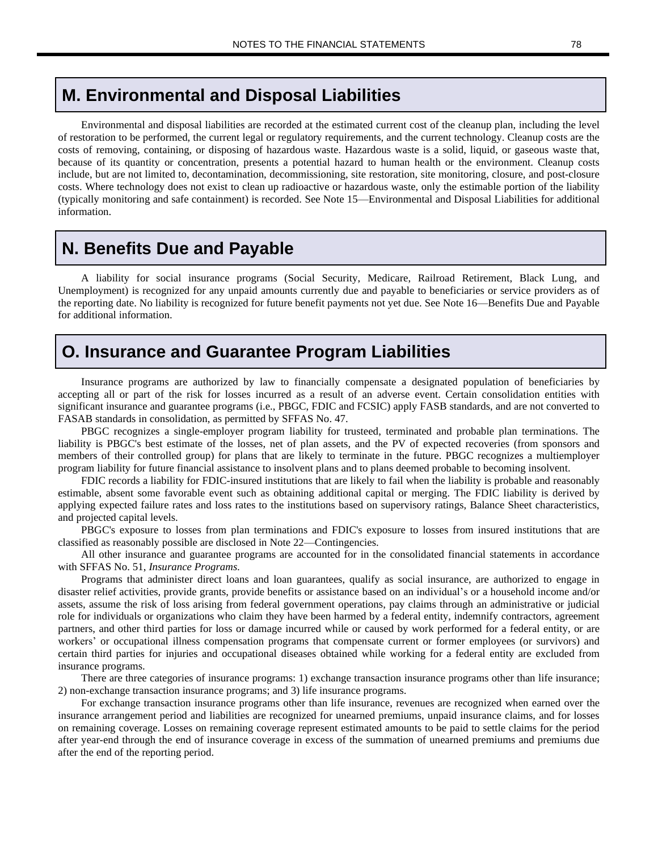#### **M. Environmental and Disposal Liabilities**

Environmental and disposal liabilities are recorded at the estimated current cost of the cleanup plan, including the level of restoration to be performed, the current legal or regulatory requirements, and the current technology. Cleanup costs are the costs of removing, containing, or disposing of hazardous waste. Hazardous waste is a solid, liquid, or gaseous waste that, because of its quantity or concentration, presents a potential hazard to human health or the environment. Cleanup costs include, but are not limited to, decontamination, decommissioning, site restoration, site monitoring, closure, and post-closure costs. Where technology does not exist to clean up radioactive or hazardous waste, only the estimable portion of the liability (typically monitoring and safe containment) is recorded. See Note 15—Environmental and Disposal Liabilities for additional information.

#### **N. Benefits Due and Payable**

A liability for social insurance programs (Social Security, Medicare, Railroad Retirement, Black Lung, and Unemployment) is recognized for any unpaid amounts currently due and payable to beneficiaries or service providers as of the reporting date. No liability is recognized for future benefit payments not yet due. See Note 16—Benefits Due and Payable for additional information.

### **O. Insurance and Guarantee Program Liabilities**

Insurance programs are authorized by law to financially compensate a designated population of beneficiaries by accepting all or part of the risk for losses incurred as a result of an adverse event. Certain consolidation entities with significant insurance and guarantee programs (i.e., PBGC, FDIC and FCSIC) apply FASB standards, and are not converted to FASAB standards in consolidation, as permitted by SFFAS No. 47.

PBGC recognizes a single-employer program liability for trusteed, terminated and probable plan terminations. The liability is PBGC's best estimate of the losses, net of plan assets, and the PV of expected recoveries (from sponsors and members of their controlled group) for plans that are likely to terminate in the future. PBGC recognizes a multiemployer program liability for future financial assistance to insolvent plans and to plans deemed probable to becoming insolvent.

FDIC records a liability for FDIC-insured institutions that are likely to fail when the liability is probable and reasonably estimable, absent some favorable event such as obtaining additional capital or merging. The FDIC liability is derived by applying expected failure rates and loss rates to the institutions based on supervisory ratings, Balance Sheet characteristics, and projected capital levels.

PBGC's exposure to losses from plan terminations and FDIC's exposure to losses from insured institutions that are classified as reasonably possible are disclosed in Note 22—Contingencies.

All other insurance and guarantee programs are accounted for in the consolidated financial statements in accordance with SFFAS No. 51, *Insurance Programs.*

Programs that administer direct loans and loan guarantees, qualify as social insurance, are authorized to engage in disaster relief activities, provide grants, provide benefits or assistance based on an individual's or a household income and/or assets, assume the risk of loss arising from federal government operations, pay claims through an administrative or judicial role for individuals or organizations who claim they have been harmed by a federal entity, indemnify contractors, agreement partners, and other third parties for loss or damage incurred while or caused by work performed for a federal entity, or are workers' or occupational illness compensation programs that compensate current or former employees (or survivors) and certain third parties for injuries and occupational diseases obtained while working for a federal entity are excluded from insurance programs.

There are three categories of insurance programs: 1) exchange transaction insurance programs other than life insurance; 2) non-exchange transaction insurance programs; and 3) life insurance programs.

For exchange transaction insurance programs other than life insurance, revenues are recognized when earned over the insurance arrangement period and liabilities are recognized for unearned premiums, unpaid insurance claims, and for losses on remaining coverage. Losses on remaining coverage represent estimated amounts to be paid to settle claims for the period after year-end through the end of insurance coverage in excess of the summation of unearned premiums and premiums due after the end of the reporting period.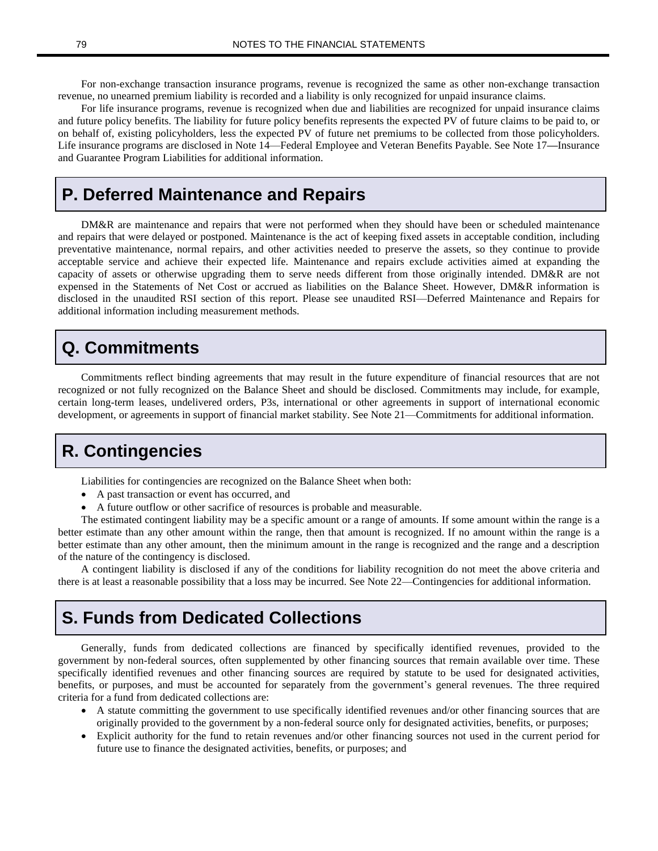For non-exchange transaction insurance programs, revenue is recognized the same as other non-exchange transaction revenue, no unearned premium liability is recorded and a liability is only recognized for unpaid insurance claims.

For life insurance programs, revenue is recognized when due and liabilities are recognized for unpaid insurance claims and future policy benefits. The liability for future policy benefits represents the expected PV of future claims to be paid to, or on behalf of, existing policyholders, less the expected PV of future net premiums to be collected from those policyholders. Life insurance programs are disclosed in Note 14—Federal Employee and Veteran Benefits Payable. See Note 17**—**Insurance and Guarantee Program Liabilities for additional information.

# **P. Deferred Maintenance and Repairs**

DM&R are maintenance and repairs that were not performed when they should have been or scheduled maintenance and repairs that were delayed or postponed. Maintenance is the act of keeping fixed assets in acceptable condition, including preventative maintenance, normal repairs, and other activities needed to preserve the assets, so they continue to provide acceptable service and achieve their expected life. Maintenance and repairs exclude activities aimed at expanding the capacity of assets or otherwise upgrading them to serve needs different from those originally intended. DM&R are not expensed in the Statements of Net Cost or accrued as liabilities on the Balance Sheet. However, DM&R information is disclosed in the unaudited RSI section of this report. Please see unaudited RSI—Deferred Maintenance and Repairs for additional information including measurement methods.

### **Q. Commitments**

Commitments reflect binding agreements that may result in the future expenditure of financial resources that are not recognized or not fully recognized on the Balance Sheet and should be disclosed. Commitments may include, for example, certain long-term leases, undelivered orders, P3s, international or other agreements in support of international economic development, or agreements in support of financial market stability. See Note 21—Commitments for additional information.

# **R. Contingencies**

Liabilities for contingencies are recognized on the Balance Sheet when both:

- A past transaction or event has occurred, and
- A future outflow or other sacrifice of resources is probable and measurable.

The estimated contingent liability may be a specific amount or a range of amounts. If some amount within the range is a better estimate than any other amount within the range, then that amount is recognized. If no amount within the range is a better estimate than any other amount, then the minimum amount in the range is recognized and the range and a description of the nature of the contingency is disclosed.

A contingent liability is disclosed if any of the conditions for liability recognition do not meet the above criteria and there is at least a reasonable possibility that a loss may be incurred. See Note 22—Contingencies for additional information.

# **S. Funds from Dedicated Collections**

Generally, funds from dedicated collections are financed by specifically identified revenues, provided to the government by non-federal sources, often supplemented by other financing sources that remain available over time. These specifically identified revenues and other financing sources are required by statute to be used for designated activities, benefits, or purposes, and must be accounted for separately from the government's general revenues. The three required criteria for a fund from dedicated collections are:

- A statute committing the government to use specifically identified revenues and/or other financing sources that are originally provided to the government by a non-federal source only for designated activities, benefits, or purposes;
- Explicit authority for the fund to retain revenues and/or other financing sources not used in the current period for future use to finance the designated activities, benefits, or purposes; and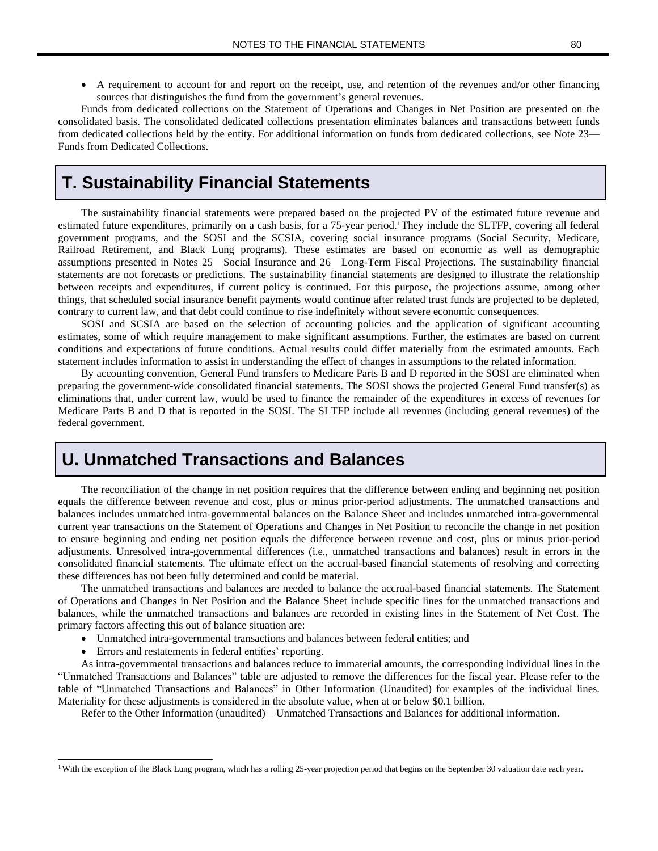• A requirement to account for and report on the receipt, use, and retention of the revenues and/or other financing sources that distinguishes the fund from the government's general revenues.

Funds from dedicated collections on the Statement of Operations and Changes in Net Position are presented on the consolidated basis. The consolidated dedicated collections presentation eliminates balances and transactions between funds from dedicated collections held by the entity. For additional information on funds from dedicated collections, see Note 23— Funds from Dedicated Collections.

### **T. Sustainability Financial Statements**

The sustainability financial statements were prepared based on the projected PV of the estimated future revenue and estimated future expenditures, primarily on a cash basis, for a 75-year period.<sup>1</sup> They include the SLTFP, covering all federal government programs, and the SOSI and the SCSIA, covering social insurance programs (Social Security, Medicare, Railroad Retirement, and Black Lung programs). These estimates are based on economic as well as demographic assumptions presented in Notes 25—Social Insurance and 26—Long-Term Fiscal Projections. The sustainability financial statements are not forecasts or predictions. The sustainability financial statements are designed to illustrate the relationship between receipts and expenditures, if current policy is continued. For this purpose, the projections assume, among other things, that scheduled social insurance benefit payments would continue after related trust funds are projected to be depleted, contrary to current law, and that debt could continue to rise indefinitely without severe economic consequences.

SOSI and SCSIA are based on the selection of accounting policies and the application of significant accounting estimates, some of which require management to make significant assumptions. Further, the estimates are based on current conditions and expectations of future conditions. Actual results could differ materially from the estimated amounts. Each statement includes information to assist in understanding the effect of changes in assumptions to the related information.

By accounting convention, General Fund transfers to Medicare Parts B and D reported in the SOSI are eliminated when preparing the government-wide consolidated financial statements. The SOSI shows the projected General Fund transfer(s) as eliminations that, under current law, would be used to finance the remainder of the expenditures in excess of revenues for Medicare Parts B and D that is reported in the SOSI. The SLTFP include all revenues (including general revenues) of the federal government.

# **U. Unmatched Transactions and Balances**

The reconciliation of the change in net position requires that the difference between ending and beginning net position equals the difference between revenue and cost, plus or minus prior-period adjustments. The unmatched transactions and balances includes unmatched intra-governmental balances on the Balance Sheet and includes unmatched intra-governmental current year transactions on the Statement of Operations and Changes in Net Position to reconcile the change in net position to ensure beginning and ending net position equals the difference between revenue and cost, plus or minus prior-period adjustments. Unresolved intra-governmental differences (i.e., unmatched transactions and balances) result in errors in the consolidated financial statements. The ultimate effect on the accrual-based financial statements of resolving and correcting these differences has not been fully determined and could be material.

The unmatched transactions and balances are needed to balance the accrual-based financial statements. The Statement of Operations and Changes in Net Position and the Balance Sheet include specific lines for the unmatched transactions and balances, while the unmatched transactions and balances are recorded in existing lines in the Statement of Net Cost. The primary factors affecting this out of balance situation are:

- Unmatched intra-governmental transactions and balances between federal entities; and
- Errors and restatements in federal entities' reporting.

As intra-governmental transactions and balances reduce to immaterial amounts, the corresponding individual lines in the "Unmatched Transactions and Balances" table are adjusted to remove the differences for the fiscal year. Please refer to the table of "Unmatched Transactions and Balances" in Other Information (Unaudited) for examples of the individual lines. Materiality for these adjustments is considered in the absolute value, when at or below \$0.1 billion.

Refer to the Other Information (unaudited)—Unmatched Transactions and Balances for additional information.

<sup>&</sup>lt;sup>1</sup> With the exception of the Black Lung program, which has a rolling 25-year projection period that begins on the September 30 valuation date each year.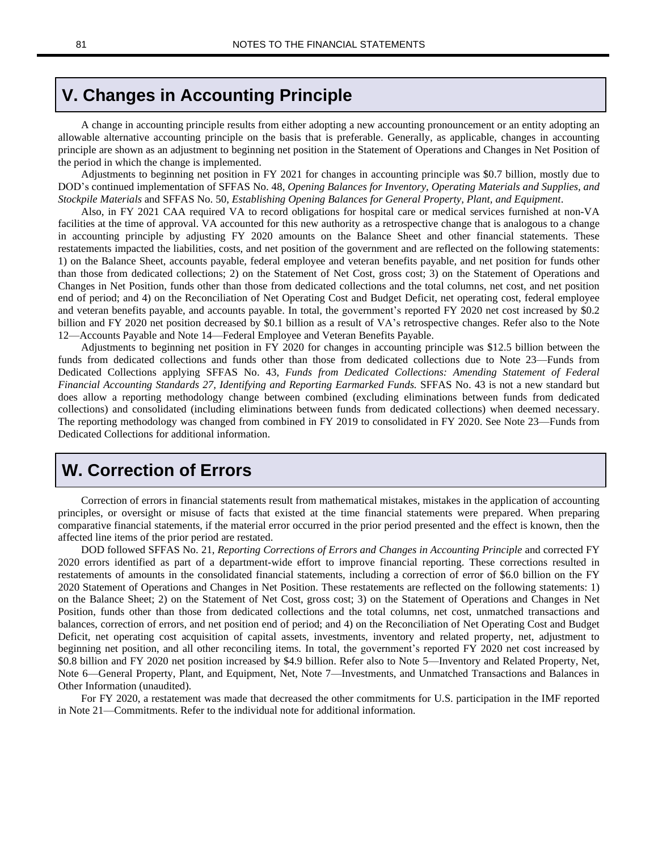#### **V. Changes in Accounting Principle**

A change in accounting principle results from either adopting a new accounting pronouncement or an entity adopting an allowable alternative accounting principle on the basis that is preferable. Generally, as applicable, changes in accounting principle are shown as an adjustment to beginning net position in the Statement of Operations and Changes in Net Position of the period in which the change is implemented.

Adjustments to beginning net position in FY 2021 for changes in accounting principle was \$0.7 billion, mostly due to DOD's continued implementation of SFFAS No. 48, *Opening Balances for Inventory, Operating Materials and Supplies, and Stockpile Materials* and SFFAS No. 50, *Establishing Opening Balances for General Property, Plant, and Equipment*.

Also, in FY 2021 CAA required VA to record obligations for hospital care or medical services furnished at non-VA facilities at the time of approval. VA accounted for this new authority as a retrospective change that is analogous to a change in accounting principle by adjusting FY 2020 amounts on the Balance Sheet and other financial statements. These restatements impacted the liabilities, costs, and net position of the government and are reflected on the following statements: 1) on the Balance Sheet, accounts payable, federal employee and veteran benefits payable, and net position for funds other than those from dedicated collections; 2) on the Statement of Net Cost, gross cost; 3) on the Statement of Operations and Changes in Net Position, funds other than those from dedicated collections and the total columns, net cost, and net position end of period; and 4) on the Reconciliation of Net Operating Cost and Budget Deficit, net operating cost, federal employee and veteran benefits payable, and accounts payable. In total, the government's reported FY 2020 net cost increased by \$0.2 billion and FY 2020 net position decreased by \$0.1 billion as a result of VA's retrospective changes. Refer also to the Note 12—Accounts Payable and Note 14—Federal Employee and Veteran Benefits Payable.

Adjustments to beginning net position in FY 2020 for changes in accounting principle was \$12.5 billion between the funds from dedicated collections and funds other than those from dedicated collections due to Note 23—Funds from Dedicated Collections applying SFFAS No. 43, *Funds from Dedicated Collections: Amending Statement of Federal Financial Accounting Standards 27, Identifying and Reporting Earmarked Funds.* SFFAS No. 43 is not a new standard but does allow a reporting methodology change between combined (excluding eliminations between funds from dedicated collections) and consolidated (including eliminations between funds from dedicated collections) when deemed necessary. The reporting methodology was changed from combined in FY 2019 to consolidated in FY 2020. See Note 23—Funds from Dedicated Collections for additional information.

# **W. Correction of Errors**

Correction of errors in financial statements result from mathematical mistakes, mistakes in the application of accounting principles, or oversight or misuse of facts that existed at the time financial statements were prepared. When preparing comparative financial statements, if the material error occurred in the prior period presented and the effect is known, then the affected line items of the prior period are restated.

DOD followed SFFAS No. 21, *Reporting Corrections of Errors and Changes in Accounting Principle* and corrected FY 2020 errors identified as part of a department-wide effort to improve financial reporting. These corrections resulted in restatements of amounts in the consolidated financial statements, including a correction of error of \$6.0 billion on the FY 2020 Statement of Operations and Changes in Net Position. These restatements are reflected on the following statements: 1) on the Balance Sheet; 2) on the Statement of Net Cost, gross cost; 3) on the Statement of Operations and Changes in Net Position, funds other than those from dedicated collections and the total columns, net cost, unmatched transactions and balances, correction of errors, and net position end of period; and 4) on the Reconciliation of Net Operating Cost and Budget Deficit, net operating cost acquisition of capital assets, investments, inventory and related property, net, adjustment to beginning net position, and all other reconciling items. In total, the government's reported FY 2020 net cost increased by \$0.8 billion and FY 2020 net position increased by \$4.9 billion. Refer also to Note 5—Inventory and Related Property, Net, Note 6—General Property, Plant, and Equipment, Net, Note 7—Investments, and Unmatched Transactions and Balances in Other Information (unaudited).

For FY 2020, a restatement was made that decreased the other commitments for U.S. participation in the IMF reported in Note 21—Commitments. Refer to the individual note for additional information.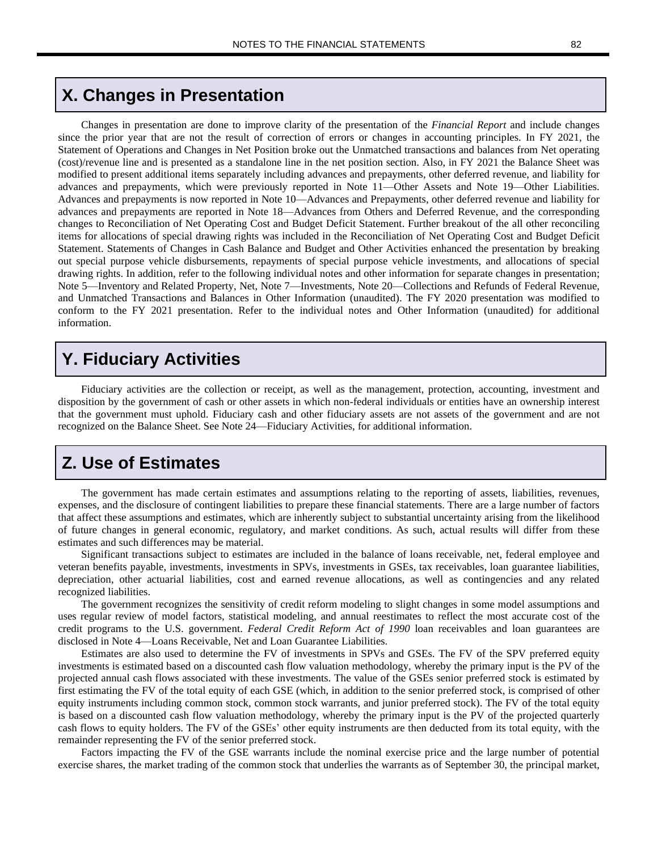# **X. Changes in Presentation**

Changes in presentation are done to improve clarity of the presentation of the *Financial Report* and include changes since the prior year that are not the result of correction of errors or changes in accounting principles. In FY 2021, the Statement of Operations and Changes in Net Position broke out the Unmatched transactions and balances from Net operating (cost)/revenue line and is presented as a standalone line in the net position section. Also, in FY 2021 the Balance Sheet was modified to present additional items separately including advances and prepayments, other deferred revenue, and liability for advances and prepayments, which were previously reported in Note 11—Other Assets and Note 19—Other Liabilities. Advances and prepayments is now reported in Note 10—Advances and Prepayments, other deferred revenue and liability for advances and prepayments are reported in Note 18—Advances from Others and Deferred Revenue, and the corresponding changes to Reconciliation of Net Operating Cost and Budget Deficit Statement. Further breakout of the all other reconciling items for allocations of special drawing rights was included in the Reconciliation of Net Operating Cost and Budget Deficit Statement. Statements of Changes in Cash Balance and Budget and Other Activities enhanced the presentation by breaking out special purpose vehicle disbursements, repayments of special purpose vehicle investments, and allocations of special drawing rights. In addition, refer to the following individual notes and other information for separate changes in presentation; Note 5—Inventory and Related Property, Net, Note 7—Investments, Note 20—Collections and Refunds of Federal Revenue, and Unmatched Transactions and Balances in Other Information (unaudited). The FY 2020 presentation was modified to conform to the FY 2021 presentation. Refer to the individual notes and Other Information (unaudited) for additional information.

# **Y. Fiduciary Activities**

Fiduciary activities are the collection or receipt, as well as the management, protection, accounting, investment and disposition by the government of cash or other assets in which non-federal individuals or entities have an ownership interest that the government must uphold. Fiduciary cash and other fiduciary assets are not assets of the government and are not recognized on the Balance Sheet. See Note 24—Fiduciary Activities, for additional information.

### **Z. Use of Estimates**

The government has made certain estimates and assumptions relating to the reporting of assets, liabilities, revenues, expenses, and the disclosure of contingent liabilities to prepare these financial statements. There are a large number of factors that affect these assumptions and estimates, which are inherently subject to substantial uncertainty arising from the likelihood of future changes in general economic, regulatory, and market conditions. As such, actual results will differ from these estimates and such differences may be material.

Significant transactions subject to estimates are included in the balance of loans receivable, net, federal employee and veteran benefits payable, investments, investments in SPVs, investments in GSEs, tax receivables, loan guarantee liabilities, depreciation, other actuarial liabilities, cost and earned revenue allocations, as well as contingencies and any related recognized liabilities.

The government recognizes the sensitivity of credit reform modeling to slight changes in some model assumptions and uses regular review of model factors, statistical modeling, and annual reestimates to reflect the most accurate cost of the credit programs to the U.S. government. *Federal Credit Reform Act of 1990* loan receivables and loan guarantees are disclosed in Note 4—Loans Receivable, Net and Loan Guarantee Liabilities.

Estimates are also used to determine the FV of investments in SPVs and GSEs. The FV of the SPV preferred equity investments is estimated based on a discounted cash flow valuation methodology, whereby the primary input is the PV of the projected annual cash flows associated with these investments. The value of the GSEs senior preferred stock is estimated by first estimating the FV of the total equity of each GSE (which, in addition to the senior preferred stock, is comprised of other equity instruments including common stock, common stock warrants, and junior preferred stock). The FV of the total equity is based on a discounted cash flow valuation methodology, whereby the primary input is the PV of the projected quarterly cash flows to equity holders. The FV of the GSEs' other equity instruments are then deducted from its total equity, with the remainder representing the FV of the senior preferred stock.

Factors impacting the FV of the GSE warrants include the nominal exercise price and the large number of potential exercise shares, the market trading of the common stock that underlies the warrants as of September 30, the principal market,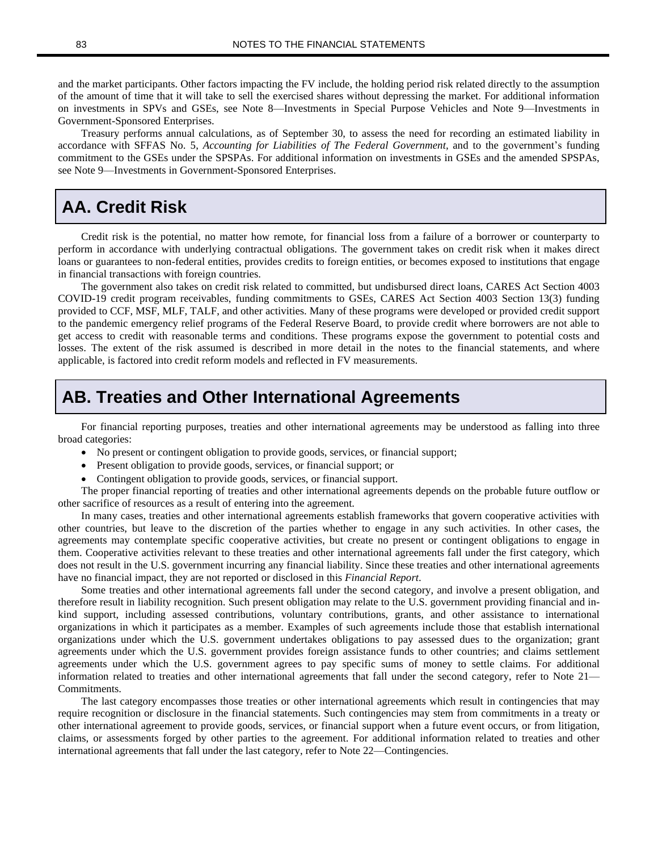and the market participants. Other factors impacting the FV include, the holding period risk related directly to the assumption of the amount of time that it will take to sell the exercised shares without depressing the market. For additional information on investments in SPVs and GSEs, see Note 8—Investments in Special Purpose Vehicles and Note 9—Investments in Government-Sponsored Enterprises.

Treasury performs annual calculations, as of September 30, to assess the need for recording an estimated liability in accordance with SFFAS No. 5, *Accounting for Liabilities of The Federal Government,* and to the government's funding commitment to the GSEs under the SPSPAs. For additional information on investments in GSEs and the amended SPSPAs, see Note 9—Investments in Government-Sponsored Enterprises.

# **AA. Credit Risk**

Credit risk is the potential, no matter how remote, for financial loss from a failure of a borrower or counterparty to perform in accordance with underlying contractual obligations. The government takes on credit risk when it makes direct loans or guarantees to non-federal entities, provides credits to foreign entities, or becomes exposed to institutions that engage in financial transactions with foreign countries.

The government also takes on credit risk related to committed, but undisbursed direct loans, CARES Act Section 4003 COVID-19 credit program receivables, funding commitments to GSEs, CARES Act Section 4003 Section 13(3) funding provided to CCF, MSF, MLF, TALF, and other activities. Many of these programs were developed or provided credit support to the pandemic emergency relief programs of the Federal Reserve Board, to provide credit where borrowers are not able to get access to credit with reasonable terms and conditions. These programs expose the government to potential costs and losses. The extent of the risk assumed is described in more detail in the notes to the financial statements, and where applicable, is factored into credit reform models and reflected in FV measurements.

#### **AB. Treaties and Other International Agreements**

For financial reporting purposes, treaties and other international agreements may be understood as falling into three broad categories:

- No present or contingent obligation to provide goods, services, or financial support;
- Present obligation to provide goods, services, or financial support; or
- Contingent obligation to provide goods, services, or financial support.

The proper financial reporting of treaties and other international agreements depends on the probable future outflow or other sacrifice of resources as a result of entering into the agreement.

In many cases, treaties and other international agreements establish frameworks that govern cooperative activities with other countries, but leave to the discretion of the parties whether to engage in any such activities. In other cases, the agreements may contemplate specific cooperative activities, but create no present or contingent obligations to engage in them. Cooperative activities relevant to these treaties and other international agreements fall under the first category, which does not result in the U.S. government incurring any financial liability. Since these treaties and other international agreements have no financial impact, they are not reported or disclosed in this *Financial Report*.

Some treaties and other international agreements fall under the second category, and involve a present obligation, and therefore result in liability recognition. Such present obligation may relate to the U.S. government providing financial and inkind support, including assessed contributions, voluntary contributions, grants, and other assistance to international organizations in which it participates as a member. Examples of such agreements include those that establish international organizations under which the U.S. government undertakes obligations to pay assessed dues to the organization; grant agreements under which the U.S. government provides foreign assistance funds to other countries; and claims settlement agreements under which the U.S. government agrees to pay specific sums of money to settle claims. For additional information related to treaties and other international agreements that fall under the second category, refer to Note 21— Commitments.

The last category encompasses those treaties or other international agreements which result in contingencies that may require recognition or disclosure in the financial statements. Such contingencies may stem from commitments in a treaty or other international agreement to provide goods, services, or financial support when a future event occurs, or from litigation, claims, or assessments forged by other parties to the agreement. For additional information related to treaties and other international agreements that fall under the last category, refer to Note 22—Contingencies.